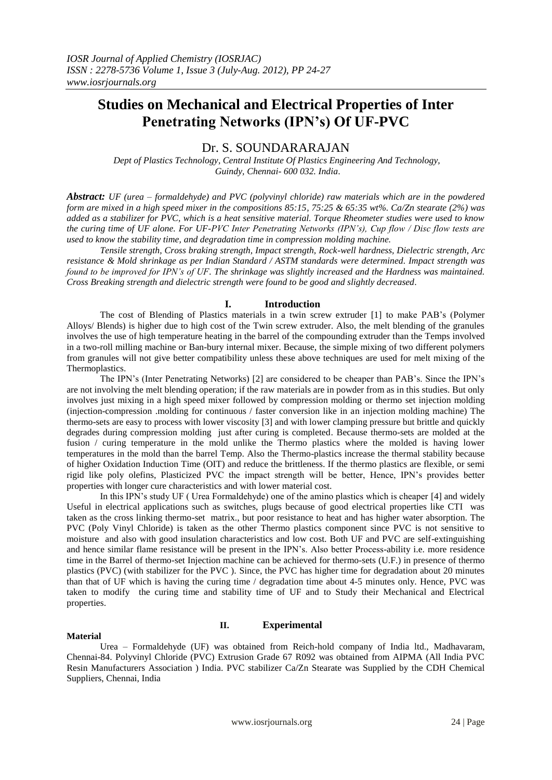# **Studies on Mechanical and Electrical Properties of Inter Penetrating Networks (IPN's) Of UF-PVC**

## Dr. S. SOUNDARARAJAN

*Dept of Plastics Technology, Central Institute Of Plastics Engineering And Technology, Guindy, Chennai- 600 032. India*.

*Abstract: UF (urea – formaldehyde) and PVC (polyvinyl chloride) raw materials which are in the powdered form are mixed in a high speed mixer in the compositions 85:15, 75:25 & 65:35 wt%. Ca/Zn stearate (2%) was added as a stabilizer for PVC, which is a heat sensitive material. Torque Rheometer studies were used to know the curing time of UF alone. For UF-PVC Inter Penetrating Networks (IPN's), Cup flow / Disc flow tests are used to know the stability time, and degradation time in compression molding machine.*

*Tensile strength, Cross braking strength, Impact strength, Rock-well hardness, Dielectric strength, Arc resistance & Mold shrinkage as per Indian Standard / ASTM standards were determined. Impact strength was found to be improved for IPN's of UF. The shrinkage was slightly increased and the Hardness was maintained. Cross Breaking strength and dielectric strength were found to be good and slightly decreased*.

## **I. Introduction**

The cost of Blending of Plastics materials in a twin screw extruder [1] to make PAB's (Polymer Alloys/ Blends) is higher due to high cost of the Twin screw extruder. Also, the melt blending of the granules involves the use of high temperature heating in the barrel of the compounding extruder than the Temps involved in a two-roll milling machine or Ban-bury internal mixer. Because, the simple mixing of two different polymers from granules will not give better compatibility unless these above techniques are used for melt mixing of the Thermoplastics.

The IPN's (Inter Penetrating Networks) [2] are considered to be cheaper than PAB's. Since the IPN's are not involving the melt blending operation; if the raw materials are in powder from as in this studies. But only involves just mixing in a high speed mixer followed by compression molding or thermo set injection molding (injection-compression .molding for continuous / faster conversion like in an injection molding machine) The thermo-sets are easy to process with lower viscosity [3] and with lower clamping pressure but brittle and quickly degrades during compression molding just after curing is completed. Because thermo-sets are molded at the fusion / curing temperature in the mold unlike the Thermo plastics where the molded is having lower temperatures in the mold than the barrel Temp. Also the Thermo-plastics increase the thermal stability because of higher Oxidation Induction Time (OIT) and reduce the brittleness. If the thermo plastics are flexible, or semi rigid like poly olefins, Plasticized PVC the impact strength will be better, Hence, IPN's provides better properties with longer cure characteristics and with lower material cost.

In this IPN's study UF ( Urea Formaldehyde) one of the amino plastics which is cheaper [4] and widely Useful in electrical applications such as switches, plugs because of good electrical properties like CTI was taken as the cross linking thermo-set matrix., but poor resistance to heat and has higher water absorption. The PVC (Poly Vinyl Chloride) is taken as the other Thermo plastics component since PVC is not sensitive to moisture and also with good insulation characteristics and low cost. Both UF and PVC are self-extinguishing and hence similar flame resistance will be present in the IPN's. Also better Process-ability i.e. more residence time in the Barrel of thermo-set Injection machine can be achieved for thermo-sets (U.F.) in presence of thermo plastics (PVC) (with stabilizer for the PVC ). Since, the PVC has higher time for degradation about 20 minutes than that of UF which is having the curing time / degradation time about 4-5 minutes only. Hence, PVC was taken to modify the curing time and stability time of UF and to Study their Mechanical and Electrical properties.

### **Material**

## **II. Experimental**

Urea – Formaldehyde (UF) was obtained from Reich-hold company of India ltd., Madhavaram, Chennai-84. Polyvinyl Chloride (PVC) Extrusion Grade 67 R092 was obtained from AIPMA (All India PVC Resin Manufacturers Association ) India. PVC stabilizer Ca/Zn Stearate was Supplied by the CDH Chemical Suppliers, Chennai, India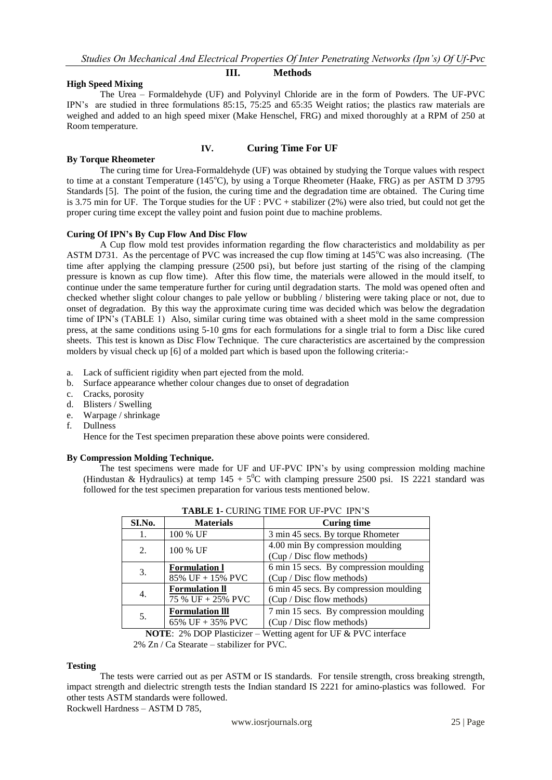## **High Speed Mixing**

## **III. Methods**

The Urea – Formaldehyde (UF) and Polyvinyl Chloride are in the form of Powders. The UF-PVC IPN's are studied in three formulations 85:15, 75:25 and 65:35 Weight ratios; the plastics raw materials are weighed and added to an high speed mixer (Make Henschel, FRG) and mixed thoroughly at a RPM of 250 at Room temperature.

## **IV. Curing Time For UF**

## **By Torque Rheometer**

The curing time for Urea-Formaldehyde (UF) was obtained by studying the Torque values with respect to time at a constant Temperature (145<sup>o</sup>C), by using a Torque Rheometer (Haake, FRG) as per ASTM D 3795 Standards [5]. The point of the fusion, the curing time and the degradation time are obtained. The Curing time is 3.75 min for UF. The Torque studies for the UF : PVC + stabilizer (2%) were also tried, but could not get the proper curing time except the valley point and fusion point due to machine problems.

## **Curing Of IPN's By Cup Flow And Disc Flow**

A Cup flow mold test provides information regarding the flow characteristics and moldability as per ASTM D731. As the percentage of PVC was increased the cup flow timing at 145°C was also increasing. (The time after applying the clamping pressure (2500 psi), but before just starting of the rising of the clamping pressure is known as cup flow time). After this flow time, the materials were allowed in the mould itself, to continue under the same temperature further for curing until degradation starts. The mold was opened often and checked whether slight colour changes to pale yellow or bubbling / blistering were taking place or not, due to onset of degradation. By this way the approximate curing time was decided which was below the degradation time of IPN's (TABLE 1) Also, similar curing time was obtained with a sheet mold in the same compression press, at the same conditions using 5-10 gms for each formulations for a single trial to form a Disc like cured sheets. This test is known as Disc Flow Technique. The cure characteristics are ascertained by the compression molders by visual check up [6] of a molded part which is based upon the following criteria:-

- a. Lack of sufficient rigidity when part ejected from the mold.
- b. Surface appearance whether colour changes due to onset of degradation
- c. Cracks, porosity
- d. Blisters / Swelling
- e. Warpage / shrinkage
- f. Dullness

Hence for the Test specimen preparation these above points were considered.

### **By Compression Molding Technique.**

The test specimens were made for UF and UF-PVC IPN's by using compression molding machine (Hindustan & Hydraulics) at temp  $145 + 5^0C$  with clamping pressure 2500 psi. IS 2221 standard was followed for the test specimen preparation for various tests mentioned below.

| TADLE I- CONTRO TIMETON OF T VC THIS                        |                        |                                        |  |  |  |  |  |
|-------------------------------------------------------------|------------------------|----------------------------------------|--|--|--|--|--|
| SI.No.                                                      | <b>Materials</b>       | <b>Curing time</b>                     |  |  |  |  |  |
| 1.                                                          | 100 % UF               | 3 min 45 secs. By torque Rhometer      |  |  |  |  |  |
| 2.                                                          | 100 % UF               | 4.00 min By compression moulding       |  |  |  |  |  |
|                                                             |                        | (Cup / Disc flow methods)              |  |  |  |  |  |
| 3.                                                          | <b>Formulation 1</b>   | 6 min 15 secs. By compression moulding |  |  |  |  |  |
|                                                             | 85% UF + 15% PVC       | (Cup / Disc flow methods)              |  |  |  |  |  |
| 4.                                                          | <b>Formulation II</b>  | 6 min 45 secs. By compression moulding |  |  |  |  |  |
|                                                             | 75 % UF + 25% PVC      | (Cup / Disc flow methods)              |  |  |  |  |  |
| 5.                                                          | <b>Formulation III</b> | 7 min 15 secs. By compression moulding |  |  |  |  |  |
|                                                             | 65% UF + 35% PVC       | (Cup / Disc flow methods)              |  |  |  |  |  |
| $\mathbf{v}$<br>$20/200$ $\mu$ <sup>1</sup><br>$\mathbf{H}$ |                        |                                        |  |  |  |  |  |

|--|

**NOTE**: 2% DOP Plasticizer – Wetting agent for UF & PVC interface 2% Zn / Ca Stearate – stabilizer for PVC.

### **Testing**

The tests were carried out as per ASTM or IS standards. For tensile strength, cross breaking strength, impact strength and dielectric strength tests the Indian standard IS 2221 for amino-plastics was followed. For other tests ASTM standards were followed. Rockwell Hardness – ASTM D 785,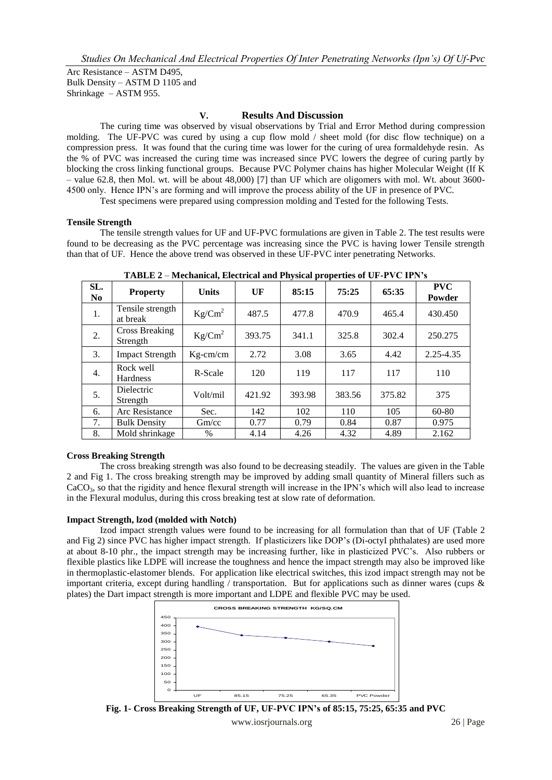Arc Resistance – ASTM D495, Bulk Density – ASTM D 1105 and Shrinkage – ASTM 955.

## **V. Results And Discussion**

The curing time was observed by visual observations by Trial and Error Method during compression molding. The UF-PVC was cured by using a cup flow mold / sheet mold (for disc flow technique) on a compression press. It was found that the curing time was lower for the curing of urea formaldehyde resin. As the % of PVC was increased the curing time was increased since PVC lowers the degree of curing partly by blocking the cross linking functional groups. Because PVC Polymer chains has higher Molecular Weight (If K – value 62.8, then Mol. wt. will be about 48,000) [7] than UF which are oligomers with mol. Wt. about 3600- 4500 only. Hence IPN's are forming and will improve the process ability of the UF in presence of PVC.

Test specimens were prepared using compression molding and Tested for the following Tests.

## **Tensile Strength**

The tensile strength values for UF and UF-PVC formulations are given in Table 2. The test results were found to be decreasing as the PVC percentage was increasing since the PVC is having lower Tensile strength than that of UF. Hence the above trend was observed in these UF-PVC inter penetrating Networks.

| SL.<br>N <sub>0</sub> | <b>Property</b>                   | <b>Units</b>     | $U$ $F$ | 85:15  | 75:25  | 65:35  | <b>PVC</b><br>Powder |
|-----------------------|-----------------------------------|------------------|---------|--------|--------|--------|----------------------|
| 1.                    | Tensile strength<br>at break      | $Kg/Cm^2$        | 487.5   | 477.8  | 470.9  | 465.4  | 430.450              |
| 2.                    | <b>Cross Breaking</b><br>Strength | $\text{Kg/cm}^2$ | 393.75  | 341.1  | 325.8  | 302.4  | 250.275              |
| 3.                    | <b>Impact Strength</b>            | $Kg-cm/cm$       | 2.72    | 3.08   | 3.65   | 4.42   | 2.25-4.35            |
| 4.                    | Rock well<br><b>Hardness</b>      | R-Scale          | 120     | 119    | 117    | 117    | 110                  |
| 5.                    | Dielectric<br>Strength            | Volt/mil         | 421.92  | 393.98 | 383.56 | 375.82 | 375                  |
| 6.                    | Arc Resistance                    | Sec.             | 142     | 102    | 110    | 105    | $60 - 80$            |
| 7.                    | <b>Bulk Density</b>               | Gm/cc            | 0.77    | 0.79   | 0.84   | 0.87   | 0.975                |
| 8.                    | Mold shrinkage                    | $\%$             | 4.14    | 4.26   | 4.32   | 4.89   | 2.162                |

**TABLE 2** – **Mechanical, Electrical and Physical properties of UF-PVC IPN's**

## **Cross Breaking Strength**

The cross breaking strength was also found to be decreasing steadily. The values are given in the Table 2 and Fig 1. The cross breaking strength may be improved by adding small quantity of Mineral fillers such as  $CaCO<sub>3</sub>$ , so that the rigidity and hence flexural strength will increase in the IPN's which will also lead to increase in the Flexural modulus, during this cross breaking test at slow rate of deformation.

### **Impact Strength, lzod (molded with Notch)**

Izod impact strength values were found to be increasing for all formulation than that of UF (Table 2 and Fig 2) since PVC has higher impact strength. If plasticizers like DOP's (Di-octyI phthalates) are used more at about 8-10 phr., the impact strength may be increasing further, like in plasticized PVC's. Also rubbers or flexible plastics like LDPE will increase the toughness and hence the impact strength may also be improved like in thermoplastic-elastomer blends. For application like electrical switches, this izod impact strength may not be important criteria, except during handling / transportation. But for applications such as dinner wares (cups & plates) the Dart impact strength is more important and LDPE and flexible PVC may be used.



**Fig. 1- Cross Breaking Strength of UF, UF-PVC IPN's of 85:15, 75:25, 65:35 and PVC**